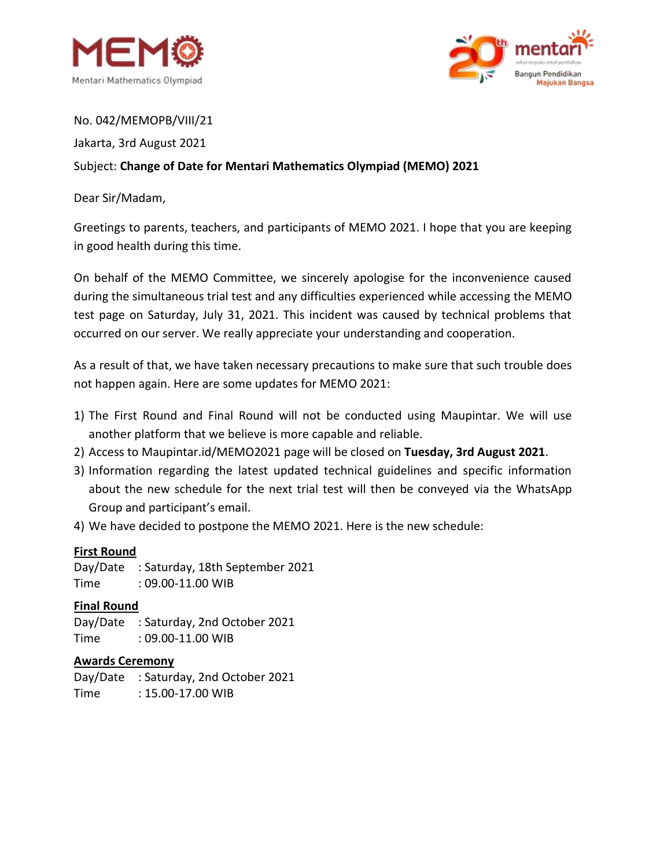



### No. 042/MEMOPB/VIII/21

Jakarta, 3rd August 2021

# Subject: **Change of Date for Mentari Mathematics Olympiad (MEMO) 2021**

### Dear Sir/Madam,

Greetings to parents, teachers, and participants of MEMO 2021. I hope that you are keeping in good health during this time.

On behalf of the MEMO Committee, we sincerely apologise for the inconvenience caused during the simultaneous trial test and any difficulties experienced while accessing the MEMO test page on Saturday, July 31, 2021. This incident was caused by technical problems that occurred on our server. We really appreciate your understanding and cooperation.

As a result of that, we have taken necessary precautions to make sure that such trouble does not happen again. Here are some updates for MEMO 2021:

- 1) The First Round and Final Round will not be conducted using Maupintar. We will use another platform that we believe is more capable and reliable.
- 2) Access to Maupintar.id/MEMO2021 page will be closed on **Tuesday, 3rd August 2021**.
- 3) Information regarding the latest updated technical guidelines and specific information about the new schedule for the next trial test will then be conveyed via the WhatsApp Group and participant's email.
- 4) We have decided to postpone the MEMO 2021. Here is the new schedule:

#### **First Round**

Day/Date : Saturday, 18th September 2021 Time : 09.00-11.00 WIB

# **Final Round**

Day/Date : Saturday, 2nd October 2021 Time : 09.00-11.00 WIB

#### **Awards Ceremony**

Day/Date : Saturday, 2nd October 2021 Time : 15.00-17.00 WIB